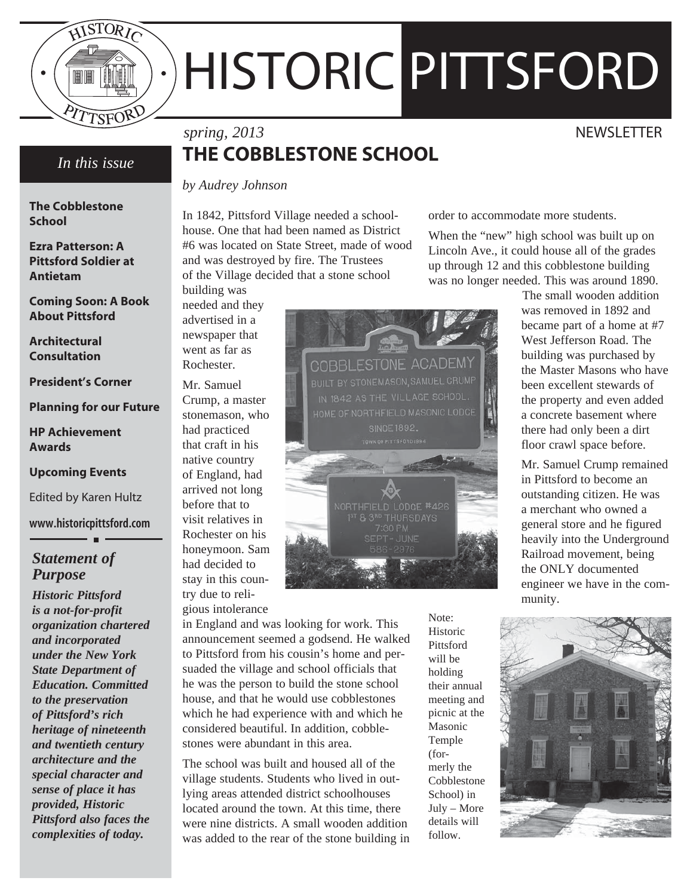

*In this issue*

**The Cobblestone** 

**Ezra Patterson: A Pittsford Soldier at** 

**Coming Soon: A Book About Pittsford**

**School**

**Antietam**

**Architectural Consultation**

**President's Corner**

**HP Achievement** 

**Upcoming Events**

*Statement of* 

*Historic Pittsford* 

*Purpose*

Edited by Karen Hultz

**www.historicpittsford.com**

**Awards**

**Planning for our Future**

# HISTORIC PITTSFORD

# **THE COBBLESTONE SCHOOL**

*by Audrey Johnson*

In 1842, Pittsford Village needed a schoolhouse. One that had been named as District #6 was located on State Street, made of wood and was destroyed by fire. The Trustees of the Village decided that a stone school building was

needed and they advertised in a newspaper that went as far as Rochester.

Crump, a master had practiced that craft in his native country of England, had arrived not long before that to visit relatives in Rochester on his honeymoon. Sam had decided to stay in this coun-

in England and was looking for work. This announcement seemed a godsend. He walked to Pittsford from his cousin's home and persuaded the village and school officials that he was the person to build the stone school house, and that he would use cobblestones which he had experience with and which he considered beautiful. In addition, cobblestones were abundant in this area.

The school was built and housed all of the village students. Students who lived in outlying areas attended district schoolhouses located around the town. At this time, there were nine districts. A small wooden addition was added to the rear of the stone building in Historic Pittsford will be holding their annual meeting and picnic at the Masonic Temple (formerly the Cobblestone School) in July – More details will follow.

Note:

order to accommodate more students.

When the "new" high school was built up on Lincoln Ave., it could house all of the grades up through 12 and this cobblestone building was no longer needed. This was around 1890.

 The small wooden addition was removed in 1892 and became part of a home at #7 West Jefferson Road. The building was purchased by the Master Masons who have been excellent stewards of the property and even added a concrete basement where there had only been a dirt floor crawl space before.

Mr. Samuel Crump remained in Pittsford to become an outstanding citizen. He was a merchant who owned a general store and he figured heavily into the Underground Railroad movement, being the ONLY documented engineer we have in the community.



*spring, 2013* NEWSLETTER

Mr. Samuel stonemason, who

try due to reli-

gious intolerance

*is a not-for-profit organization chartered and incorporated under the New York State Department of Education. Committed to the preservation of Pittsford's rich heritage of nineteenth and twentieth century architecture and the special character and sense of place it has provided, Historic Pittsford also faces the complexities of today.*

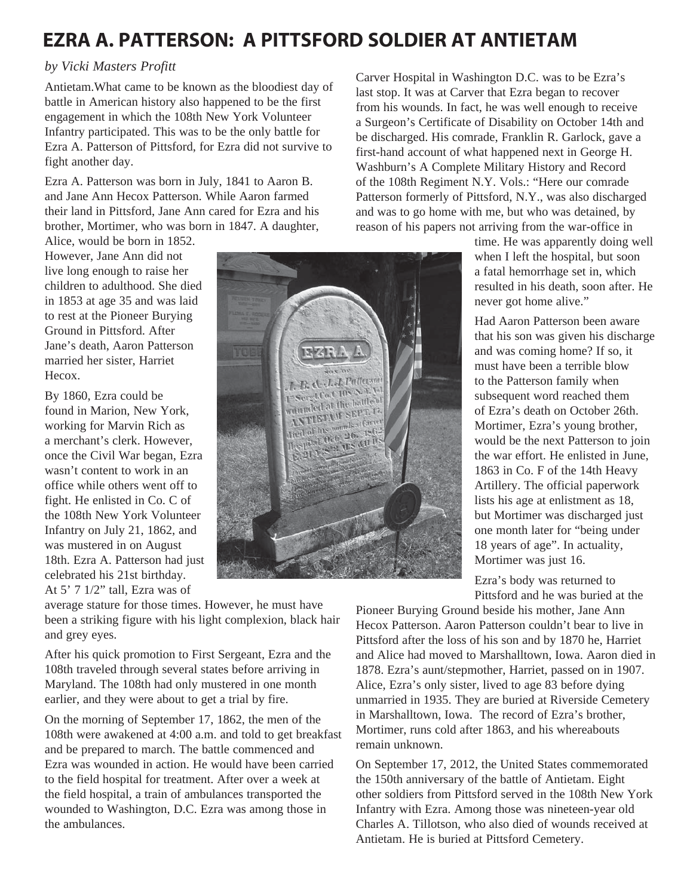## **EZRA A. PATTERSON: A PITTSFORD SOLDIER AT ANTIETAM**

## *by Vicki Masters Profitt*

Antietam.What came to be known as the bloodiest day of battle in American history also happened to be the first engagement in which the 108th New York Volunteer Infantry participated. This was to be the only battle for Ezra A. Patterson of Pittsford, for Ezra did not survive to fight another day.

Ezra A. Patterson was born in July, 1841 to Aaron B. and Jane Ann Hecox Patterson. While Aaron farmed their land in Pittsford, Jane Ann cared for Ezra and his brother, Mortimer, who was born in 1847. A daughter,

Alice, would be born in 1852. However, Jane Ann did not live long enough to raise her children to adulthood. She died in 1853 at age 35 and was laid to rest at the Pioneer Burying Ground in Pittsford. After Jane's death, Aaron Patterson married her sister, Harriet Hecox.

By 1860, Ezra could be found in Marion, New York, working for Marvin Rich as a merchant's clerk. However, once the Civil War began, Ezra wasn't content to work in an office while others went off to fight. He enlisted in Co. C of the 108th New York Volunteer Infantry on July 21, 1862, and was mustered in on August 18th. Ezra A. Patterson had just celebrated his 21st birthday. At 5' 7 1/2" tall, Ezra was of



average stature for those times. However, he must have been a striking figure with his light complexion, black hair and grey eyes.

After his quick promotion to First Sergeant, Ezra and the 108th traveled through several states before arriving in Maryland. The 108th had only mustered in one month earlier, and they were about to get a trial by fire.

On the morning of September 17, 1862, the men of the 108th were awakened at 4:00 a.m. and told to get breakfast and be prepared to march. The battle commenced and Ezra was wounded in action. He would have been carried to the field hospital for treatment. After over a week at the field hospital, a train of ambulances transported the wounded to Washington, D.C. Ezra was among those in the ambulances.

Carver Hospital in Washington D.C. was to be Ezra's last stop. It was at Carver that Ezra began to recover from his wounds. In fact, he was well enough to receive a Surgeon's Certificate of Disability on October 14th and be discharged. His comrade, Franklin R. Garlock, gave a first-hand account of what happened next in George H. Washburn's A Complete Military History and Record of the 108th Regiment N.Y. Vols.: "Here our comrade Patterson formerly of Pittsford, N.Y., was also discharged and was to go home with me, but who was detained, by reason of his papers not arriving from the war-office in

time. He was apparently doing well when I left the hospital, but soon a fatal hemorrhage set in, which resulted in his death, soon after. He never got home alive."

Had Aaron Patterson been aware that his son was given his discharge and was coming home? If so, it must have been a terrible blow to the Patterson family when subsequent word reached them of Ezra's death on October 26th. Mortimer, Ezra's young brother, would be the next Patterson to join the war effort. He enlisted in June, 1863 in Co. F of the 14th Heavy Artillery. The official paperwork lists his age at enlistment as 18, but Mortimer was discharged just one month later for "being under 18 years of age". In actuality, Mortimer was just 16.

Ezra's body was returned to Pittsford and he was buried at the

Pioneer Burying Ground beside his mother, Jane Ann Hecox Patterson. Aaron Patterson couldn't bear to live in Pittsford after the loss of his son and by 1870 he, Harriet and Alice had moved to Marshalltown, Iowa. Aaron died in 1878. Ezra's aunt/stepmother, Harriet, passed on in 1907. Alice, Ezra's only sister, lived to age 83 before dying unmarried in 1935. They are buried at Riverside Cemetery in Marshalltown, Iowa. The record of Ezra's brother, Mortimer, runs cold after 1863, and his whereabouts remain unknown.

On September 17, 2012, the United States commemorated the 150th anniversary of the battle of Antietam. Eight other soldiers from Pittsford served in the 108th New York Infantry with Ezra. Among those was nineteen-year old Charles A. Tillotson, who also died of wounds received at Antietam. He is buried at Pittsford Cemetery.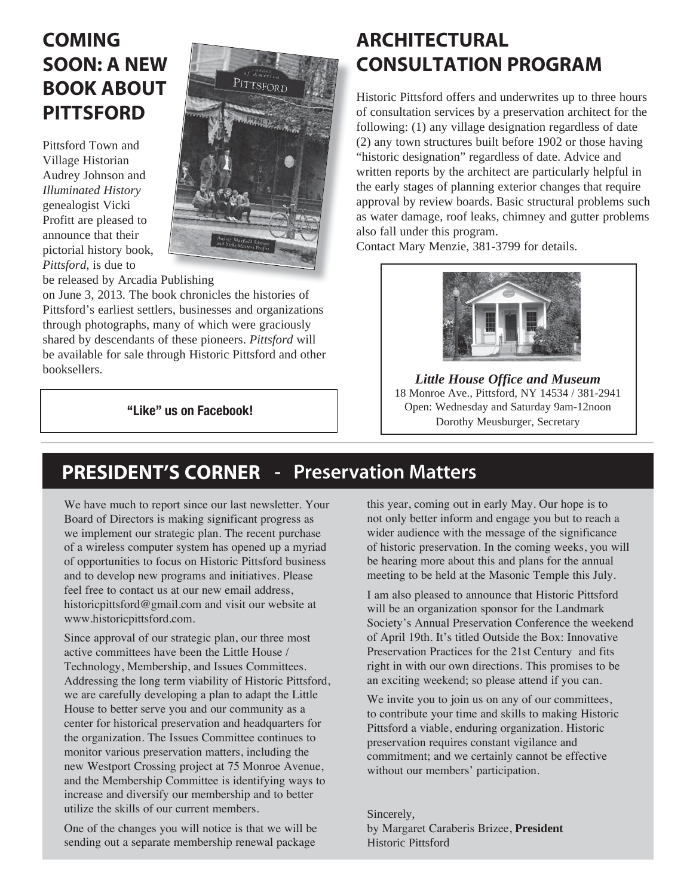# **COMING SOON: A NEW BOOK ABOUT PITTSFORD**

Pittsford Town and Village Historian Audrey Johnson and *Illuminated History* genealogist Vicki Profitt are pleased to announce that their pictorial history book, *Pittsford*, is due to



be released by Arcadia Publishing

on June 3, 2013. The book chronicles the histories of Pittsford's earliest settlers, businesses and organizations through photographs, many of which were graciously shared by descendants of these pioneers. *Pittsford* will be available for sale through Historic Pittsford and other booksellers.

**"Like" us on Facebook!**

## **ARCHITECTURAL CONSULTATION PROGRAM**

Historic Pittsford offers and underwrites up to three hours of consultation services by a preservation architect for the following: (1) any village designation regardless of date (2) any town structures built before 1902 or those having "historic designation" regardless of date. Advice and written reports by the architect are particularly helpful in the early stages of planning exterior changes that require approval by review boards. Basic structural problems such as water damage, roof leaks, chimney and gutter problems also fall under this program.

Contact Mary Menzie, 381-3799 for details.



*Little House Office and Museum* 18 Monroe Ave., Pittsford, NY 14534 / 381-2941 Open: Wednesday and Saturday 9am-12noon Dorothy Meusburger, Secretary

# **PRESIDENT'S CORNER - Preservation Matters**

We have much to report since our last newsletter. Your Board of Directors is making significant progress as we implement our strategic plan. The recent purchase of a wireless computer system has opened up a myriad of opportunities to focus on Historic Pittsford business and to develop new programs and initiatives. Please feel free to contact us at our new email address, historicpittsford@gmail.com and visit our website at www.historicpittsford.com.

Since approval of our strategic plan, our three most active committees have been the Little House / Technology, Membership, and Issues Committees. Addressing the long term viability of Historic Pittsford, we are carefully developing a plan to adapt the Little House to better serve you and our community as a center for historical preservation and headquarters for the organization. The Issues Committee continues to monitor various preservation matters, including the new Westport Crossing project at 75 Monroe Avenue, and the Membership Committee is identifying ways to increase and diversify our membership and to better utilize the skills of our current members.

One of the changes you will notice is that we will be sending out a separate membership renewal package

this year, coming out in early May. Our hope is to not only better inform and engage you but to reach a wider audience with the message of the significance of historic preservation. In the coming weeks, you will be hearing more about this and plans for the annual meeting to be held at the Masonic Temple this July.

I am also pleased to announce that Historic Pittsford will be an organization sponsor for the Landmark Society's Annual Preservation Conference the weekend of April 19th. It's titled Outside the Box: Innovative Preservation Practices for the 21st Century and fits right in with our own directions. This promises to be an exciting weekend; so please attend if you can.

We invite you to join us on any of our committees, to contribute your time and skills to making Historic Pittsford a viable, enduring organization. Historic preservation requires constant vigilance and commitment; and we certainly cannot be effective without our members' participation.

Sincerely, by Margaret Caraberis Brizee, **President** Historic Pittsford